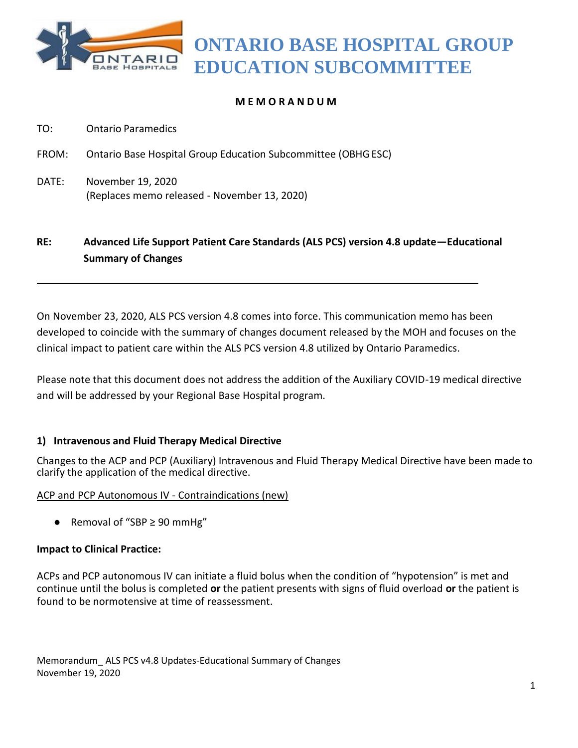

**ONTARIO BASE HOSPITAL GROUP EDUCATION SUBCOMMITTEE**

# **M E M O R A N D U M**

- TO: Ontario Paramedics
- FROM: Ontario Base Hospital Group Education Subcommittee (OBHGESC)
- DATE: November 19, 2020 (Replaces memo released - November 13, 2020)

# **RE: Advanced Life Support Patient Care Standards (ALS PCS) version 4.8 update—Educational Summary of Changes**

On November 23, 2020, ALS PCS version 4.8 comes into force. This communication memo has been developed to coincide with the summary of changes document released by the MOH and focuses on the clinical impact to patient care within the ALS PCS version 4.8 utilized by Ontario Paramedics.

Please note that this document does not address the addition of the Auxiliary COVID-19 medical directive and will be addressed by your Regional Base Hospital program.

## **1) Intravenous and Fluid Therapy Medical Directive**

Changes to the ACP and PCP (Auxiliary) Intravenous and Fluid Therapy Medical Directive have been made to clarify the application of the medical directive.

## ACP and PCP Autonomous IV - Contraindications (new)

 $\bullet$  Removal of "SBP ≥ 90 mmHg"

## **Impact to Clinical Practice:**

ACPs and PCP autonomous IV can initiate a fluid bolus when the condition of "hypotension" is met and continue until the bolus is completed **or** the patient presents with signs of fluid overload **or** the patient is found to be normotensive at time of reassessment.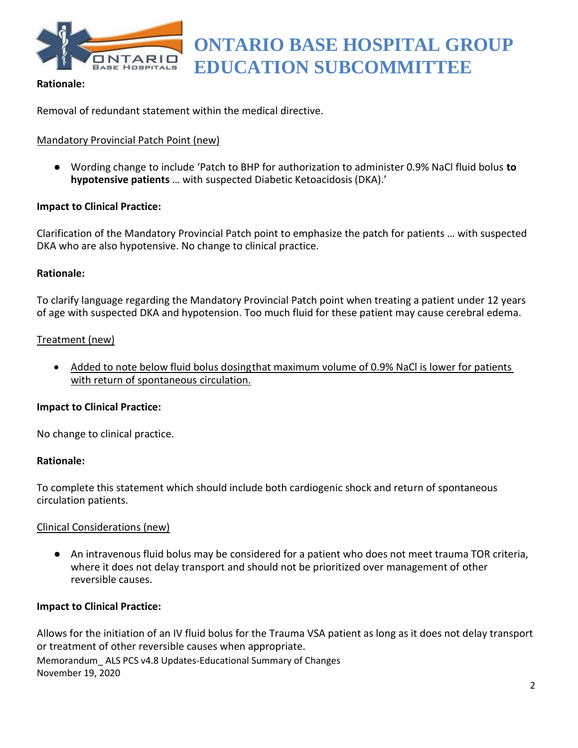

# **ONTARIO BASE HOSPITAL GROUP EDUCATION SUBCOMMITTEE**

# **Rationale:**

Removal of redundant statement within the medical directive.

# Mandatory Provincial Patch Point (new)

● Wording change to include 'Patch to BHP for authorization to administer 0.9% NaCl fluid bolus **to hypotensive patients** … with suspected Diabetic Ketoacidosis (DKA).'

## **Impact to Clinical Practice:**

Clarification of the Mandatory Provincial Patch point to emphasize the patch for patients … with suspected DKA who are also hypotensive. No change to clinical practice.

## **Rationale:**

To clarify language regarding the Mandatory Provincial Patch point when treating a patient under 12 years of age with suspected DKA and hypotension. Too much fluid for these patient may cause cerebral edema.

## Treatment (new)

 Added to note below fluid bolus dosingthat maximum volume of 0.9% NaCl is lower for patients with return of spontaneous circulation.

#### **Impact to Clinical Practice:**

No change to clinical practice.

#### **Rationale:**

To complete this statement which should include both cardiogenic shock and return of spontaneous circulation patients.

## Clinical Considerations (new)

● An intravenous fluid bolus may be considered for a patient who does not meet trauma TOR criteria, where it does not delay transport and should not be prioritized over management of other reversible causes.

## **Impact to Clinical Practice:**

Memorandum\_ ALS PCS v4.8 Updates-Educational Summary of Changes November 19, 2020 Allows for the initiation of an IV fluid bolus for the Trauma VSA patient as long as it does not delay transport or treatment of other reversible causes when appropriate.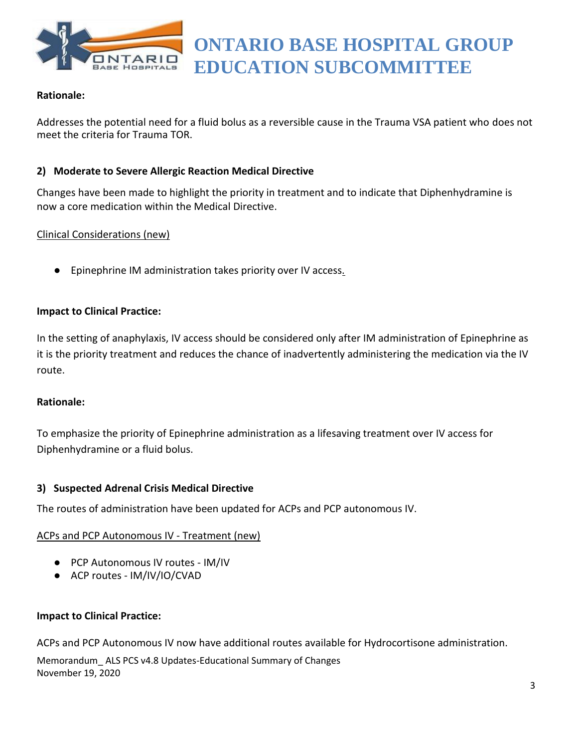

# **Rationale:**

Addresses the potential need for a fluid bolus as a reversible cause in the Trauma VSA patient who does not meet the criteria for Trauma TOR.

# **2) Moderate to Severe Allergic Reaction Medical Directive**

Changes have been made to highlight the priority in treatment and to indicate that Diphenhydramine is now a core medication within the Medical Directive.

# Clinical Considerations (new)

● Epinephrine IM administration takes priority over IV access.

# **Impact to Clinical Practice:**

In the setting of anaphylaxis, IV access should be considered only after IM administration of Epinephrine as it is the priority treatment and reduces the chance of inadvertently administering the medication via the IV route.

## **Rationale:**

To emphasize the priority of Epinephrine administration as a lifesaving treatment over IV access for Diphenhydramine or a fluid bolus.

## **3) Suspected Adrenal Crisis Medical Directive**

The routes of administration have been updated for ACPs and PCP autonomous IV.

## ACPs and PCP Autonomous IV - Treatment (new)

- PCP Autonomous IV routes IM/IV
- ACP routes IM/IV/IO/CVAD

## **Impact to Clinical Practice:**

ACPs and PCP Autonomous IV now have additional routes available for Hydrocortisone administration.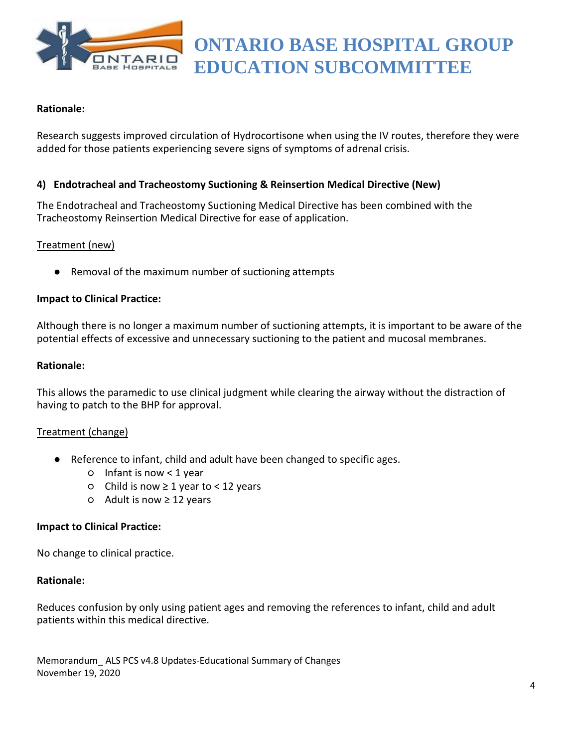

## **Rationale:**

Research suggests improved circulation of Hydrocortisone when using the IV routes, therefore they were added for those patients experiencing severe signs of symptoms of adrenal crisis.

# **4) Endotracheal and Tracheostomy Suctioning & Reinsertion Medical Directive (New)**

The Endotracheal and Tracheostomy Suctioning Medical Directive has been combined with the Tracheostomy Reinsertion Medical Directive for ease of application.

## Treatment (new)

● Removal of the maximum number of suctioning attempts

#### **Impact to Clinical Practice:**

Although there is no longer a maximum number of suctioning attempts, it is important to be aware of the potential effects of excessive and unnecessary suctioning to the patient and mucosal membranes.

#### **Rationale:**

This allows the paramedic to use clinical judgment while clearing the airway without the distraction of having to patch to the BHP for approval.

#### Treatment (change)

- Reference to infant, child and adult have been changed to specific ages.
	- Infant is now < 1 year
	- Child is now ≥ 1 year to < 12 years
	- Adult is now ≥ 12 years

#### **Impact to Clinical Practice:**

No change to clinical practice.

#### **Rationale:**

Reduces confusion by only using patient ages and removing the references to infant, child and adult patients within this medical directive.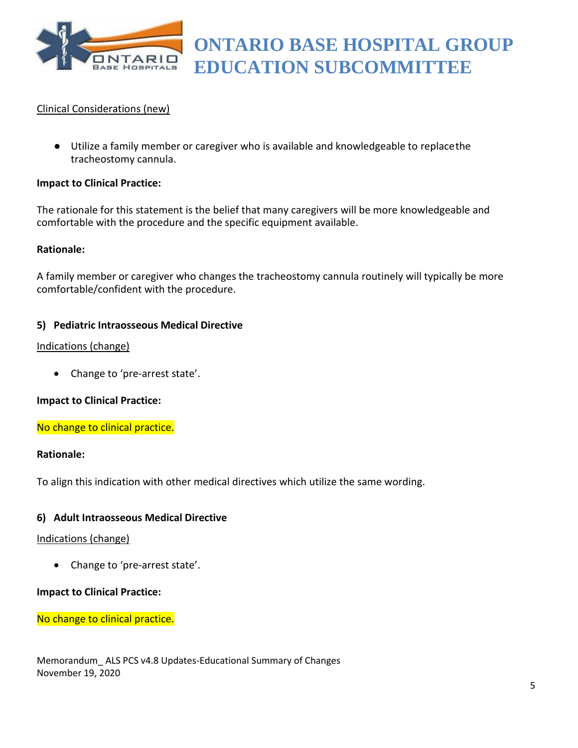

# Clinical Considerations (new)

● Utilize a family member or caregiver who is available and knowledgeable to replacethe tracheostomy cannula.

#### **Impact to Clinical Practice:**

The rationale for this statement is the belief that many caregivers will be more knowledgeable and comfortable with the procedure and the specific equipment available.

#### **Rationale:**

A family member or caregiver who changes the tracheostomy cannula routinely will typically be more comfortable/confident with the procedure.

#### **5) Pediatric Intraosseous Medical Directive**

#### Indications (change)

• Change to 'pre-arrest state'.

## **Impact to Clinical Practice:**

No change to clinical practice.

#### **Rationale:**

To align this indication with other medical directives which utilize the same wording.

## **6) Adult Intraosseous Medical Directive**

#### Indications (change)

• Change to 'pre-arrest state'.

## **Impact to Clinical Practice:**

No change to clinical practice.